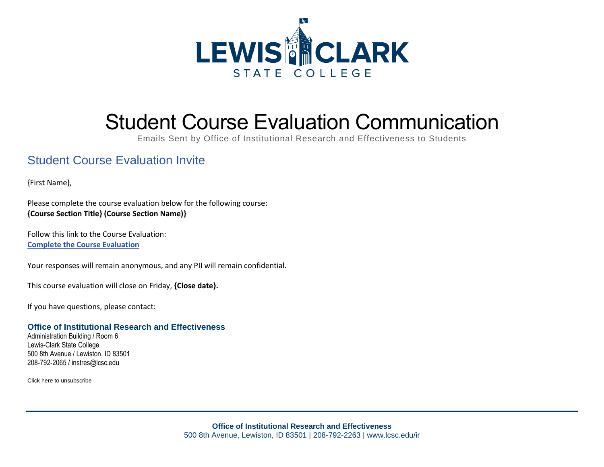

# Student Course Evaluation Communication

Emails Sent by Office of Institutional Research and Effectiveness to Students

## Student Course Evaluation Invite

{First Name},

Please complete the course evaluation below for the following course: **{Course Section Title} (Course Section Name)}**

Follow this link to the Course Evaluation: **Complete the Course Evaluation**

Your responses will remain anonymous, and any PII will remain confidential.

This course evaluation will close on Friday, **{Close date}.**

If you have questions, please contact:

#### **Office of Institutional Research and Effectiveness**

Administration Building / Room 6 Lewis-Clark State College 500 8th Avenue / Lewiston, ID 83501 208-792-2065 / instres@lcsc.edu

Click here to unsubscribe